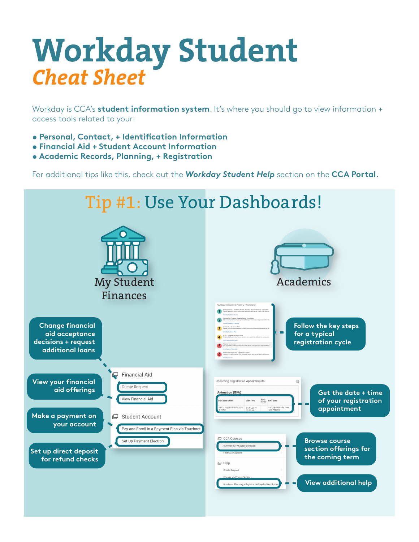## **Workday Student** *Cheat Sheet*

Workday is CCA's **student information system**. It's where you should go to view information + access tools related to your:

- **Personal, Contact, + Identification Information**
- **Financial Aid + Student Account Information**
- **Academic Records, Planning, + Registration**

For additional tips like this, check out the *Workday Student Help* section on the **CCA Portal**.